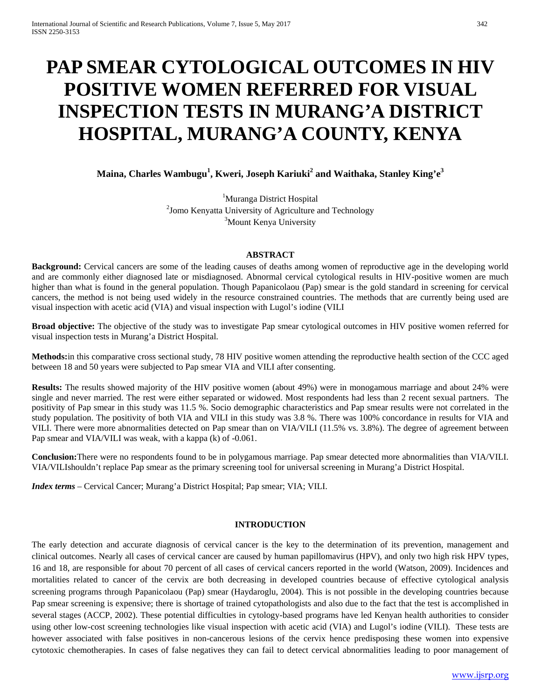# **PAP SMEAR CYTOLOGICAL OUTCOMES IN HIV POSITIVE WOMEN REFERRED FOR VISUAL INSPECTION TESTS IN MURANG'A DISTRICT HOSPITAL, MURANG'A COUNTY, KENYA**

**Maina, Charles Wambugu<sup>1</sup> , Kweri, Joseph Kariuki2 and Waithaka, Stanley King'e3**

<sup>1</sup>Muranga District Hospital <sup>2</sup>Jomo Kenyatta University of Agriculture and Technology <sup>3</sup>Mount Kenya University

#### **ABSTRACT**

**Background:** Cervical cancers are some of the leading causes of deaths among women of reproductive age in the developing world and are commonly either diagnosed late or misdiagnosed. Abnormal cervical cytological results in HIV-positive women are much higher than what is found in the general population. Though Papanicolaou (Pap) smear is the gold standard in screening for cervical cancers, the method is not being used widely in the resource constrained countries. The methods that are currently being used are visual inspection with acetic acid (VIA) and visual inspection with Lugol's iodine (VILI

**Broad objective:** The objective of the study was to investigate Pap smear cytological outcomes in HIV positive women referred for visual inspection tests in Murang'a District Hospital.

**Methods:**in this comparative cross sectional study, 78 HIV positive women attending the reproductive health section of the CCC aged between 18 and 50 years were subjected to Pap smear VIA and VILI after consenting.

**Results:** The results showed majority of the HIV positive women (about 49%) were in monogamous marriage and about 24% were single and never married. The rest were either separated or widowed. Most respondents had less than 2 recent sexual partners. The positivity of Pap smear in this study was 11.5 %. Socio demographic characteristics and Pap smear results were not correlated in the study population. The positivity of both VIA and VILI in this study was 3.8 %. There was 100% concordance in results for VIA and VILI. There were more abnormalities detected on Pap smear than on VIA/VILI (11.5% vs. 3.8%). The degree of agreement between Pap smear and VIA/VILI was weak, with a kappa (k) of -0.061.

**Conclusion:**There were no respondents found to be in polygamous marriage. Pap smear detected more abnormalities than VIA/VILI. VIA/VILIshouldn't replace Pap smear as the primary screening tool for universal screening in Murang'a District Hospital.

*Index terms* – Cervical Cancer; Murang'a District Hospital; Pap smear; VIA; VILI.

## **INTRODUCTION**

The early detection and accurate diagnosis of cervical cancer is the key to the determination of its prevention, management and clinical outcomes. Nearly all cases of cervical cancer are caused by human papillomavirus (HPV), and only two high risk HPV types, 16 and 18, are responsible for about 70 percent of all cases of cervical cancers reported in the world (Watson, 2009). Incidences and mortalities related to cancer of the cervix are both decreasing in developed countries because of effective cytological analysis screening programs through Papanicolaou (Pap) smear (Haydaroglu, 2004). This is not possible in the developing countries because Pap smear screening is expensive; there is shortage of trained cytopathologists and also due to the fact that the test is accomplished in several stages (ACCP, 2002). These potential difficulties in cytology-based programs have led Kenyan health authorities to consider using other low-cost screening technologies like visual inspection with acetic acid (VIA) and Lugol's iodine (VILI). These tests are however associated with false positives in non-cancerous lesions of the cervix hence predisposing these women into expensive cytotoxic chemotherapies. In cases of false negatives they can fail to detect cervical abnormalities leading to poor management of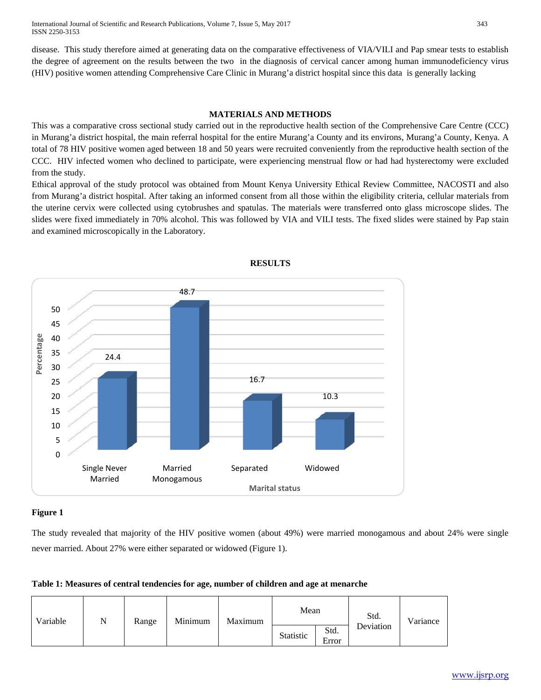International Journal of Scientific and Research Publications, Volume 7, Issue 5, May 2017 343 ISSN 2250-3153

disease. This study therefore aimed at generating data on the comparative effectiveness of VIA/VILI and Pap smear tests to establish the degree of agreement on the results between the two in the diagnosis of cervical cancer among human immunodeficiency virus (HIV) positive women attending Comprehensive Care Clinic in Murang'a district hospital since this data is generally lacking

#### **MATERIALS AND METHODS**

This was a comparative cross sectional study carried out in the reproductive health section of the Comprehensive Care Centre (CCC) in Murang'a district hospital, the main referral hospital for the entire Murang'a County and its environs, Murang'a County, Kenya. A total of 78 HIV positive women aged between 18 and 50 years were recruited conveniently from the reproductive health section of the CCC. HIV infected women who declined to participate, were experiencing menstrual flow or had had hysterectomy were excluded from the study.

Ethical approval of the study protocol was obtained from Mount Kenya University Ethical Review Committee, NACOSTI and also from Murang'a district hospital. After taking an informed consent from all those within the eligibility criteria, cellular materials from the uterine cervix were collected using cytobrushes and spatulas. The materials were transferred onto glass microscope slides. The slides were fixed immediately in 70% alcohol. This was followed by VIA and VILI tests. The fixed slides were stained by Pap stain and examined microscopically in the Laboratory.



**RESULTS**

## **Figure 1**

The study revealed that majority of the HIV positive women (about 49%) were married monogamous and about 24% were single never married. About 27% were either separated or widowed (Figure 1).

| Variable | N | Range | Minimum | Maximum | Mean      |               | Std.      | Variance |
|----------|---|-------|---------|---------|-----------|---------------|-----------|----------|
|          |   |       |         |         | Statistic | Std.<br>Error | Deviation |          |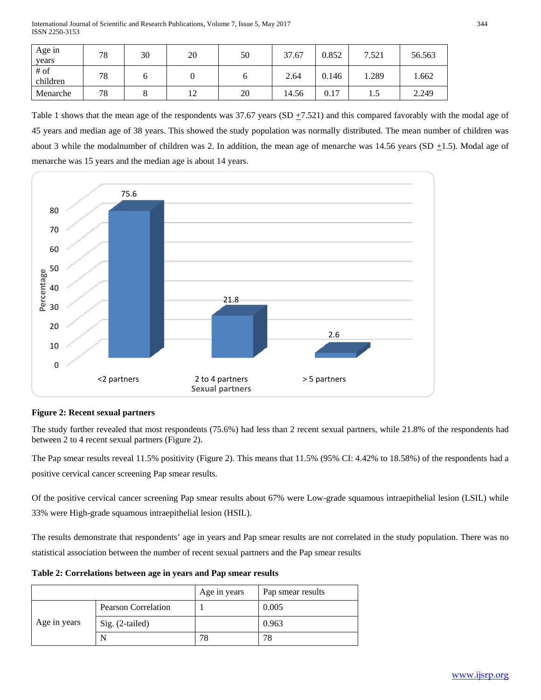International Journal of Scientific and Research Publications, Volume 7, Issue 5, May 2017 344 ISSN 2250-3153

| Age in<br>years    | 78 | 30 | 20 | 50 | 37.67 | 0.852 | 7.521 | 56.563 |
|--------------------|----|----|----|----|-------|-------|-------|--------|
| $#$ of<br>children | 78 |    |    |    | 2.64  | 0.146 | 1.289 | 1.662  |
| Menarche           | 78 |    | ∸  | 20 | 14.56 | 0.17  | 1.J   | 2.249  |

Table 1 shows that the mean age of the respondents was  $37.67$  years (SD  $\pm$ 7.521) and this compared favorably with the modal age of 45 years and median age of 38 years. This showed the study population was normally distributed. The mean number of children was about 3 while the modalnumber of children was 2. In addition, the mean age of menarche was  $14.56$  years (SD  $\pm$ 1.5). Modal age of menarche was 15 years and the median age is about 14 years.



## **Figure 2: Recent sexual partners**

The study further revealed that most respondents (75.6%) had less than 2 recent sexual partners, while 21.8% of the respondents had between 2 to 4 recent sexual partners (Figure 2).

The Pap smear results reveal 11.5% positivity (Figure 2). This means that 11.5% (95% CI: 4.42% to 18.58%) of the respondents had a positive cervical cancer screening Pap smear results.

Of the positive cervical cancer screening Pap smear results about 67% were Low-grade squamous intraepithelial lesion (LSIL) while 33% were High-grade squamous intraepithelial lesion (HSIL).

The results demonstrate that respondents' age in years and Pap smear results are not correlated in the study population. There was no statistical association between the number of recent sexual partners and the Pap smear results

|              |                            | Age in years | Pap smear results |
|--------------|----------------------------|--------------|-------------------|
|              | <b>Pearson Correlation</b> |              | 0.005             |
| Age in years | Sig. (2-tailed)            |              | 0.963             |
|              | N                          | 78           | 78                |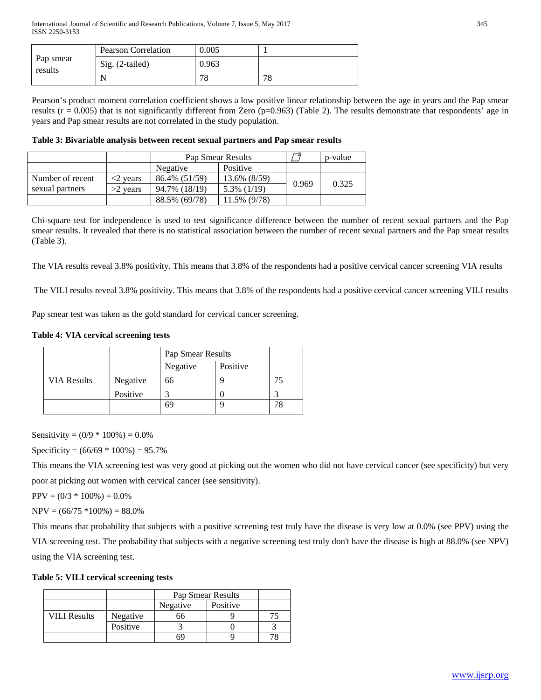|                      | Pearson Correlation | 0.005 |               |
|----------------------|---------------------|-------|---------------|
| Pap smear<br>results | Sig. (2-tailed)     | 0.963 |               |
|                      | N                   | 78    | 70<br>$\circ$ |

Pearson's product moment correlation coefficient shows a low positive linear relationship between the age in years and the Pap smear results ( $r = 0.005$ ) that is not significantly different from Zero ( $p=0.963$ ) (Table 2). The results demonstrate that respondents' age in years and Pap smear results are not correlated in the study population.

**Table 3: Bivariable analysis between recent sexual partners and Pap smear results**

|                  |                           | Pap Smear Results    |                | p-value |       |
|------------------|---------------------------|----------------------|----------------|---------|-------|
|                  |                           | Positive<br>Negative |                |         |       |
| Number of recent | $\langle 2 \rangle$ vears | 86.4% (51/59)        | 13.6% (8/59)   | 0.969   | 0.325 |
| sexual partners  | $>2$ vears                | 94.7% (18/19)        | $5.3\%$ (1/19) |         |       |
|                  |                           | 88.5% (69/78)        | 11.5% (9/78)   |         |       |

Chi-square test for independence is used to test significance difference between the number of recent sexual partners and the Pap smear results. It revealed that there is no statistical association between the number of recent sexual partners and the Pap smear results (Table 3).

The VIA results reveal 3.8% positivity. This means that 3.8% of the respondents had a positive cervical cancer screening VIA results

The VILI results reveal 3.8% positivity. This means that 3.8% of the respondents had a positive cervical cancer screening VILI results

Pap smear test was taken as the gold standard for cervical cancer screening.

#### **Table 4: VIA cervical screening tests**

|                    |          | Pap Smear Results |          |  |
|--------------------|----------|-------------------|----------|--|
|                    |          | Negative          | Positive |  |
| <b>VIA Results</b> | Negative | 66                |          |  |
|                    | Positive |                   |          |  |
|                    |          | 69                |          |  |

Sensitivity =  $(0/9 * 100\%) = 0.0\%$ 

Specificity =  $(66/69 * 100%) = 95.7%$ 

This means the VIA screening test was very good at picking out the women who did not have cervical cancer (see specificity) but very poor at picking out women with cervical cancer (see sensitivity).

 $PPV = (0/3 * 100\%) = 0.0\%$ 

$$
NPV = (66/75 * 100\%) = 88.0\%
$$

This means that probability that subjects with a positive screening test truly have the disease is very low at 0.0% (see PPV) using the VIA screening test. The probability that subjects with a negative screening test truly don't have the disease is high at 88.0% (see NPV) using the VIA screening test.

#### **Table 5: VILI cervical screening tests**

|                     |          | Pap Smear Results |          |  |
|---------------------|----------|-------------------|----------|--|
|                     |          | Negative          | Positive |  |
| <b>VILI Results</b> | Negative | ჂϦ                |          |  |
|                     | Positive |                   |          |  |
|                     |          | 69                |          |  |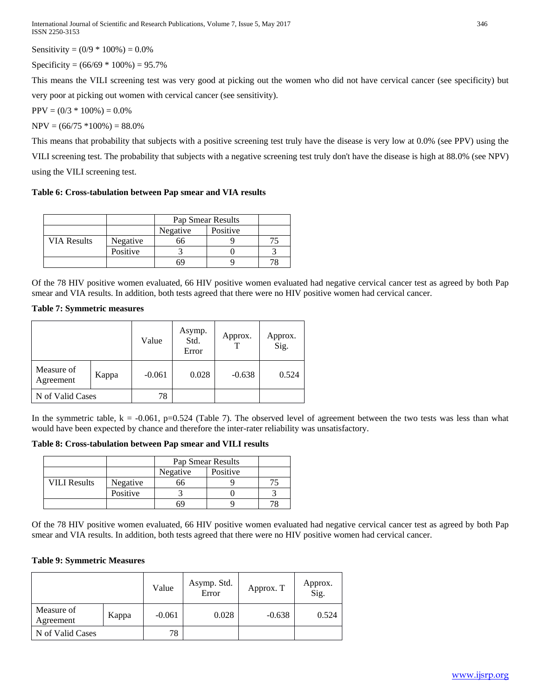Sensitivity =  $(0/9 * 100\%) = 0.0\%$ 

Specificity =  $(66/69 * 100\%) = 95.7\%$ 

This means the VILI screening test was very good at picking out the women who did not have cervical cancer (see specificity) but very poor at picking out women with cervical cancer (see sensitivity).

 $PPV = (0/3 * 100\%) = 0.0\%$ 

 $NPV = (66/75 *100\%) = 88.0\%$ 

This means that probability that subjects with a positive screening test truly have the disease is very low at 0.0% (see PPV) using the VILI screening test. The probability that subjects with a negative screening test truly don't have the disease is high at 88.0% (see NPV) using the VILI screening test.

## **Table 6: Cross-tabulation between Pap smear and VIA results**

|                    |          | Pap Smear Results |  |  |
|--------------------|----------|-------------------|--|--|
|                    |          | Negative          |  |  |
| <b>VIA Results</b> | Negative |                   |  |  |
|                    | Positive |                   |  |  |
|                    |          |                   |  |  |

Of the 78 HIV positive women evaluated, 66 HIV positive women evaluated had negative cervical cancer test as agreed by both Pap smear and VIA results. In addition, both tests agreed that there were no HIV positive women had cervical cancer.

## **Table 7: Symmetric measures**

|                         |       | Value    | Asymp.<br>Std.<br>Error | Approx.  | Approx.<br>Sig. |
|-------------------------|-------|----------|-------------------------|----------|-----------------|
| Measure of<br>Agreement | Kappa | $-0.061$ | 0.028                   | $-0.638$ | 0.524           |
| N of Valid Cases        |       | 78       |                         |          |                 |

In the symmetric table,  $k = -0.061$ , p=0.524 (Table 7). The observed level of agreement between the two tests was less than what would have been expected by chance and therefore the inter-rater reliability was unsatisfactory.

**Table 8: Cross-tabulation between Pap smear and VILI results**

|                     |          |          | Pap Smear Results |  |  |  |  |
|---------------------|----------|----------|-------------------|--|--|--|--|
|                     |          | Negative |                   |  |  |  |  |
| <b>VILI Results</b> | Negative |          |                   |  |  |  |  |
|                     | Positive |          |                   |  |  |  |  |
|                     |          |          |                   |  |  |  |  |

Of the 78 HIV positive women evaluated, 66 HIV positive women evaluated had negative cervical cancer test as agreed by both Pap smear and VIA results. In addition, both tests agreed that there were no HIV positive women had cervical cancer.

## **Table 9: Symmetric Measures**

|                         |       | Value    | Asymp. Std.<br>Error | Approx. T | Approx.<br>Sig. |
|-------------------------|-------|----------|----------------------|-----------|-----------------|
| Measure of<br>Agreement | Kappa | $-0.061$ | 0.028                | $-0.638$  | 0.524           |
| N of Valid Cases        |       | 78       |                      |           |                 |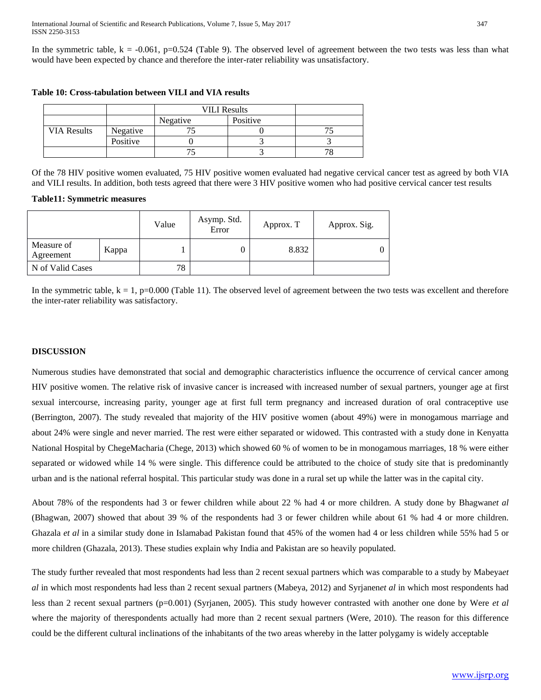In the symmetric table,  $k = -0.061$ , p=0.524 (Table 9). The observed level of agreement between the two tests was less than what would have been expected by chance and therefore the inter-rater reliability was unsatisfactory.

|                    |          | <b>VILI Results</b> |          |  |
|--------------------|----------|---------------------|----------|--|
|                    |          | Negative            | Positive |  |
| <b>VIA Results</b> | Negative |                     |          |  |
|                    | Positive |                     |          |  |
|                    |          |                     |          |  |

## **Table 10: Cross-tabulation between VILI and VIA results**

Of the 78 HIV positive women evaluated, 75 HIV positive women evaluated had negative cervical cancer test as agreed by both VIA and VILI results. In addition, both tests agreed that there were 3 HIV positive women who had positive cervical cancer test results

#### **Table11: Symmetric measures**

|                         |       | Value | Asymp. Std.<br>Error | Approx. T | Approx. Sig. |
|-------------------------|-------|-------|----------------------|-----------|--------------|
| Measure of<br>Agreement | Kappa |       |                      | 8.832     |              |
| N of Valid Cases        |       | 78    |                      |           |              |

In the symmetric table,  $k = 1$ ,  $p=0.000$  (Table 11). The observed level of agreement between the two tests was excellent and therefore the inter-rater reliability was satisfactory.

#### **DISCUSSION**

Numerous studies have demonstrated that social and demographic characteristics influence the occurrence of cervical cancer among HIV positive women. The relative risk of invasive cancer is increased with increased number of sexual partners, younger age at first sexual intercourse, increasing parity, younger age at first full term pregnancy and increased duration of oral contraceptive use (Berrington, 2007). The study revealed that majority of the HIV positive women (about 49%) were in monogamous marriage and about 24% were single and never married. The rest were either separated or widowed. This contrasted with a study done in Kenyatta National Hospital by ChegeMacharia (Chege, 2013) which showed 60 % of women to be in monogamous marriages, 18 % were either separated or widowed while 14 % were single. This difference could be attributed to the choice of study site that is predominantly urban and is the national referral hospital. This particular study was done in a rural set up while the latter was in the capital city.

About 78% of the respondents had 3 or fewer children while about 22 % had 4 or more children. A study done by Bhagwan*et al* (Bhagwan, 2007) showed that about 39 % of the respondents had 3 or fewer children while about 61 % had 4 or more children. Ghazala *et al* in a similar study done in Islamabad Pakistan found that 45% of the women had 4 or less children while 55% had 5 or more children (Ghazala, 2013). These studies explain why India and Pakistan are so heavily populated.

The study further revealed that most respondents had less than 2 recent sexual partners which was comparable to a study by Mabeya*et al* in which most respondents had less than 2 recent sexual partners (Mabeya, 2012) and Syrjanen*et al* in which most respondents had less than 2 recent sexual partners (p=0.001) (Syrjanen, 2005). This study however contrasted with another one done by Were *et al*  where the majority of therespondents actually had more than 2 recent sexual partners (Were, 2010). The reason for this difference could be the different cultural inclinations of the inhabitants of the two areas whereby in the latter polygamy is widely acceptable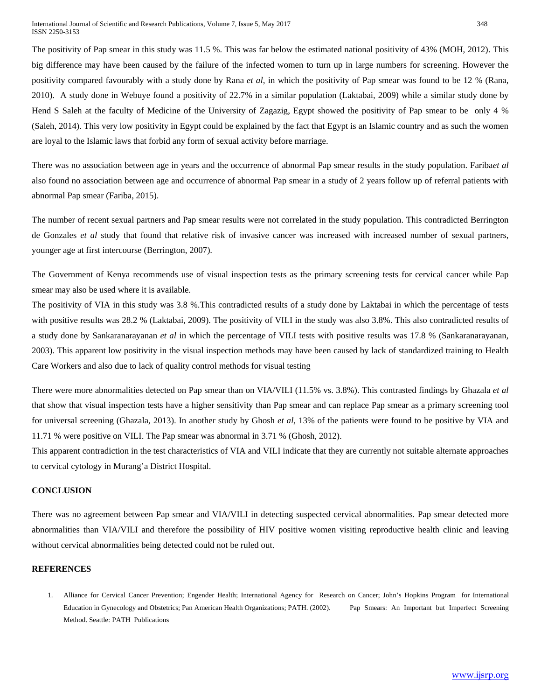The positivity of Pap smear in this study was 11.5 %. This was far below the estimated national positivity of 43% (MOH, 2012). This big difference may have been caused by the failure of the infected women to turn up in large numbers for screening. However the positivity compared favourably with a study done by Rana *et al*, in which the positivity of Pap smear was found to be 12 % (Rana, 2010). A study done in Webuye found a positivity of 22.7% in a similar population (Laktabai, 2009) while a similar study done by Hend S Saleh at the faculty of Medicine of the University of Zagazig, Egypt showed the positivity of Pap smear to be only 4 % (Saleh, 2014). This very low positivity in Egypt could be explained by the fact that Egypt is an Islamic country and as such the women are loyal to the Islamic laws that forbid any form of sexual activity before marriage.

There was no association between age in years and the occurrence of abnormal Pap smear results in the study population. Fariba*et al* also found no association between age and occurrence of abnormal Pap smear in a study of 2 years follow up of referral patients with abnormal Pap smear (Fariba, 2015).

The number of recent sexual partners and Pap smear results were not correlated in the study population. This contradicted Berrington de Gonzales *et al* study that found that relative risk of invasive cancer was increased with increased number of sexual partners, younger age at first intercourse (Berrington, 2007).

The Government of Kenya recommends use of visual inspection tests as the primary screening tests for cervical cancer while Pap smear may also be used where it is available.

The positivity of VIA in this study was 3.8 %.This contradicted results of a study done by Laktabai in which the percentage of tests with positive results was 28.2 % (Laktabai, 2009). The positivity of VILI in the study was also 3.8%. This also contradicted results of a study done by Sankaranarayanan *et al* in which the percentage of VILI tests with positive results was 17.8 % (Sankaranarayanan, 2003). This apparent low positivity in the visual inspection methods may have been caused by lack of standardized training to Health Care Workers and also due to lack of quality control methods for visual testing

There were more abnormalities detected on Pap smear than on VIA/VILI (11.5% vs. 3.8%). This contrasted findings by Ghazala *et al* that show that visual inspection tests have a higher sensitivity than Pap smear and can replace Pap smear as a primary screening tool for universal screening (Ghazala, 2013). In another study by Ghosh *et al,* 13% of the patients were found to be positive by VIA and 11.71 % were positive on VILI. The Pap smear was abnormal in 3.71 % (Ghosh, 2012).

This apparent contradiction in the test characteristics of VIA and VILI indicate that they are currently not suitable alternate approaches to cervical cytology in Murang'a District Hospital.

## **CONCLUSION**

There was no agreement between Pap smear and VIA/VILI in detecting suspected cervical abnormalities. Pap smear detected more abnormalities than VIA/VILI and therefore the possibility of HIV positive women visiting reproductive health clinic and leaving without cervical abnormalities being detected could not be ruled out.

#### **REFERENCES**

1. Alliance for Cervical Cancer Prevention; Engender Health; International Agency for Research on Cancer; John's Hopkins Program for International Education in Gynecology and Obstetrics; Pan American Health Organizations; PATH. (2002). Pap Smears: An Important but Imperfect Screening Method. Seattle: PATH Publications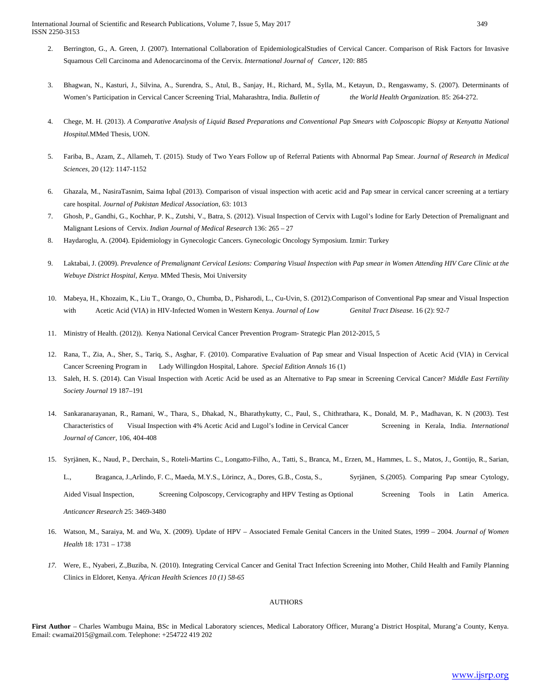International Journal of Scientific and Research Publications, Volume 7, Issue 5, May 2017 349 ISSN 2250-3153

- 2. Berrington, G., A. Green, J. (2007). International Collaboration of EpidemiologicalStudies of Cervical Cancer. Comparison of Risk Factors for Invasive Squamous Cell Carcinoma and Adenocarcinoma of the Cervix. *International Journal of Cancer*, 120: 885
- 3. Bhagwan, N., Kasturi, J., Silvina, A., Surendra, S., Atul, B., Sanjay, H., Richard, M., Sylla, M., Ketayun, D., Rengaswamy, S. (2007). Determinants of Women's Participation in Cervical Cancer Screening Trial, Maharashtra, India. *Bulletin of the World Health Organization.* 85: 264-272.
- 4. Chege, M. H. (2013). *A Comparative Analysis of Liquid Based Preparations and Conventional Pap Smears with Colposcopic Biopsy at Kenyatta National Hospital.*MMed Thesis, UON.
- 5. Fariba, B., Azam, Z., Allameh, T. (2015). Study of Two Years Follow up of Referral Patients with Abnormal Pap Smear. *Journal of Research in Medical Sciences,* 20 (12): 1147-1152
- 6. Ghazala, M., NasiraTasnim, Saima Iqbal (2013). Comparison of visual inspection with acetic acid and Pap smear in cervical cancer screening at a tertiary care hospital. *Journal of Pakistan Medical Association*, 63: 1013
- 7. Ghosh, P., Gandhi, G., Kochhar, P. K., Zutshi, V., Batra, S. (2012). Visual Inspection of Cervix with Lugol's Iodine for Early Detection of Premalignant and Malignant Lesions of Cervix. *Indian Journal of Medical Research* 136: 265 – 27
- 8. Haydaroglu, A. (2004). Epidemiology in Gynecologic Cancers. Gynecologic Oncology Symposium. Izmir: Turkey
- 9. Laktabai, J. (2009). *Prevalence of Premalignant Cervical Lesions: Comparing Visual Inspection with Pap smear in Women Attending HIV Care Clinic at the Webuye District Hospital, Kenya.* MMed Thesis, Moi University
- 10. Mabeya, H., Khozaim, K., Liu T., Orango, O., Chumba, D., Pisharodi, L., Cu-Uvin, S. (2012).Comparison of Conventional Pap smear and Visual Inspection with Acetic Acid (VIA) in HIV-Infected Women in Western Kenya. *Journal of Low Genital Tract Disease.* 16 (2): 92-7
- 11. Ministry of Health. (2012)). Kenya National Cervical Cancer Prevention Program- Strategic Plan 2012-2015, 5
- 12. Rana, T., Zia, A., Sher, S., Tariq, S., Asghar, F. (2010). Comparative Evaluation of Pap smear and Visual Inspection of Acetic Acid (VIA) in Cervical Cancer Screening Program in Lady Willingdon Hospital, Lahore. *Special Edition Annals* 16 (1)
- 13. Saleh, H. S. (2014). Can Visual Inspection with Acetic Acid be used as an Alternative to Pap smear in Screening Cervical Cancer? *Middle East Fertility Society Journal* 19 187–191
- 14. Sankaranarayanan, R., Ramani, W., Thara, S., Dhakad, N., Bharathykutty, C., Paul, S., Chithrathara, K., Donald, M. P., Madhavan, K. N (2003). Test Characteristics of Visual Inspection with 4% Acetic Acid and Lugol's Iodine in Cervical Cancer Screening in Kerala, India. *International Journal of Cancer,* 106, 404-408
- 15. Syrjänen, K., Naud, P., Derchain, S., Roteli-Martins C., Longatto-Filho, A., Tatti, S., Branca, M., Erzen, M., Hammes, L. S., Matos, J., Gontijo, R., Sarian,

L., Braganca, J.,Arlindo, F. C., Maeda, M.Y.S., Lörincz, A., Dores, G.B., Costa, S., Syrjänen, S.(2005). Comparing Pap smear Cytology, Aided Visual Inspection, Screening Colposcopy, Cervicography and HPV Testing as Optional Screening Tools in Latin America. *Anticancer Research* 25: 3469-3480

- 16. Watson, M., Saraiya, M. and Wu, X. (2009). Update of HPV Associated Female Genital Cancers in the United States, 1999 2004. *Journal of Women Health* 18: 1731 – 1738
- *17.* Were, E., Nyaberi, Z.,Buziba, N. (2010). Integrating Cervical Cancer and Genital Tract Infection Screening into Mother, Child Health and Family Planning Clinics in Eldoret, Kenya. *African Health Sciences 10 (1) 58-65*

#### AUTHORS

**First Author** – Charles Wambugu Maina, BSc in Medical Laboratory sciences, Medical Laboratory Officer, Murang'a District Hospital, Murang'a County, Kenya. Email[: cwamai2015@gmail.com.](mailto:cwamai2015@gmail.com) Telephone: +254722 419 202